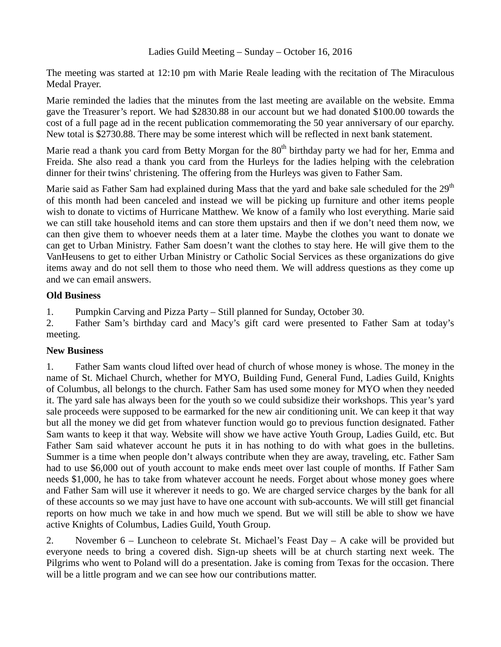Ladies Guild Meeting – Sunday – October 16, 2016

The meeting was started at 12:10 pm with Marie Reale leading with the recitation of The Miraculous Medal Prayer.

Marie reminded the ladies that the minutes from the last meeting are available on the website. Emma gave the Treasurer's report. We had \$2830.88 in our account but we had donated \$100.00 towards the cost of a full page ad in the recent publication commemorating the 50 year anniversary of our eparchy. New total is \$2730.88. There may be some interest which will be reflected in next bank statement.

Marie read a thank you card from Betty Morgan for the 80<sup>th</sup> birthday party we had for her, Emma and Freida. She also read a thank you card from the Hurleys for the ladies helping with the celebration dinner for their twins' christening. The offering from the Hurleys was given to Father Sam.

Marie said as Father Sam had explained during Mass that the yard and bake sale scheduled for the 29<sup>th</sup> of this month had been canceled and instead we will be picking up furniture and other items people wish to donate to victims of Hurricane Matthew. We know of a family who lost everything. Marie said we can still take household items and can store them upstairs and then if we don't need them now, we can then give them to whoever needs them at a later time. Maybe the clothes you want to donate we can get to Urban Ministry. Father Sam doesn't want the clothes to stay here. He will give them to the VanHeusens to get to either Urban Ministry or Catholic Social Services as these organizations do give items away and do not sell them to those who need them. We will address questions as they come up and we can email answers.

## **Old Business**

1. Pumpkin Carving and Pizza Party – Still planned for Sunday, October 30.

2. Father Sam's birthday card and Macy's gift card were presented to Father Sam at today's meeting.

## **New Business**

1. Father Sam wants cloud lifted over head of church of whose money is whose. The money in the name of St. Michael Church, whether for MYO, Building Fund, General Fund, Ladies Guild, Knights of Columbus, all belongs to the church. Father Sam has used some money for MYO when they needed it. The yard sale has always been for the youth so we could subsidize their workshops. This year's yard sale proceeds were supposed to be earmarked for the new air conditioning unit. We can keep it that way but all the money we did get from whatever function would go to previous function designated. Father Sam wants to keep it that way. Website will show we have active Youth Group, Ladies Guild, etc. But Father Sam said whatever account he puts it in has nothing to do with what goes in the bulletins. Summer is a time when people don't always contribute when they are away, traveling, etc. Father Sam had to use \$6,000 out of youth account to make ends meet over last couple of months. If Father Sam needs \$1,000, he has to take from whatever account he needs. Forget about whose money goes where and Father Sam will use it wherever it needs to go. We are charged service charges by the bank for all of these accounts so we may just have to have one account with sub-accounts. We will still get financial reports on how much we take in and how much we spend. But we will still be able to show we have active Knights of Columbus, Ladies Guild, Youth Group.

2. November 6 – Luncheon to celebrate St. Michael's Feast Day – A cake will be provided but everyone needs to bring a covered dish. Sign-up sheets will be at church starting next week. The Pilgrims who went to Poland will do a presentation. Jake is coming from Texas for the occasion. There will be a little program and we can see how our contributions matter.